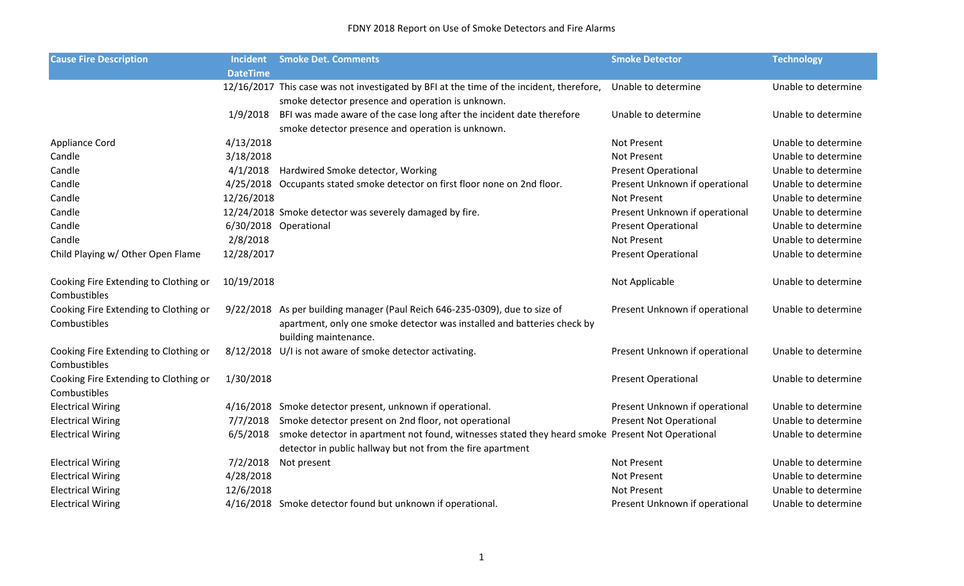| <b>Cause Fire Description</b>         | <b>Incident</b> | <b>Smoke Det. Comments</b>                                                                                                                                     | <b>Smoke Detector</b>          | <b>Technology</b>   |
|---------------------------------------|-----------------|----------------------------------------------------------------------------------------------------------------------------------------------------------------|--------------------------------|---------------------|
|                                       | <b>DateTime</b> |                                                                                                                                                                |                                |                     |
|                                       |                 | 12/16/2017 This case was not investigated by BFI at the time of the incident, therefore,                                                                       | Unable to determine            | Unable to determine |
|                                       |                 | smoke detector presence and operation is unknown.                                                                                                              |                                |                     |
|                                       | 1/9/2018        | BFI was made aware of the case long after the incident date therefore                                                                                          | Unable to determine            | Unable to determine |
|                                       |                 | smoke detector presence and operation is unknown.                                                                                                              |                                |                     |
| Appliance Cord                        | 4/13/2018       |                                                                                                                                                                | Not Present                    | Unable to determine |
| Candle                                | 3/18/2018       |                                                                                                                                                                | <b>Not Present</b>             | Unable to determine |
| Candle                                | 4/1/2018        | Hardwired Smoke detector, Working                                                                                                                              | <b>Present Operational</b>     | Unable to determine |
| Candle                                |                 | 4/25/2018 Occupants stated smoke detector on first floor none on 2nd floor.                                                                                    | Present Unknown if operational | Unable to determine |
| Candle                                | 12/26/2018      |                                                                                                                                                                | Not Present                    | Unable to determine |
| Candle                                |                 | 12/24/2018 Smoke detector was severely damaged by fire.                                                                                                        | Present Unknown if operational | Unable to determine |
| Candle                                |                 | 6/30/2018 Operational                                                                                                                                          | <b>Present Operational</b>     | Unable to determine |
| Candle                                | 2/8/2018        |                                                                                                                                                                | Not Present                    | Unable to determine |
| Child Playing w/ Other Open Flame     | 12/28/2017      |                                                                                                                                                                | <b>Present Operational</b>     | Unable to determine |
| Cooking Fire Extending to Clothing or | 10/19/2018      |                                                                                                                                                                | Not Applicable                 | Unable to determine |
| Combustibles                          |                 |                                                                                                                                                                |                                |                     |
| Cooking Fire Extending to Clothing or |                 | 9/22/2018 As per building manager (Paul Reich 646-235-0309), due to size of                                                                                    | Present Unknown if operational | Unable to determine |
| Combustibles                          |                 | apartment, only one smoke detector was installed and batteries check by<br>building maintenance.                                                               |                                |                     |
| Cooking Fire Extending to Clothing or |                 | 8/12/2018 U/I is not aware of smoke detector activating.                                                                                                       | Present Unknown if operational | Unable to determine |
| Combustibles                          |                 |                                                                                                                                                                |                                |                     |
| Cooking Fire Extending to Clothing or | 1/30/2018       |                                                                                                                                                                | <b>Present Operational</b>     | Unable to determine |
| Combustibles                          |                 |                                                                                                                                                                |                                |                     |
| <b>Electrical Wiring</b>              |                 | 4/16/2018 Smoke detector present, unknown if operational.                                                                                                      | Present Unknown if operational | Unable to determine |
| <b>Electrical Wiring</b>              | 7/7/2018        | Smoke detector present on 2nd floor, not operational                                                                                                           | <b>Present Not Operational</b> | Unable to determine |
| <b>Electrical Wiring</b>              | 6/5/2018        | smoke detector in apartment not found, witnesses stated they heard smoke Present Not Operational<br>detector in public hallway but not from the fire apartment |                                | Unable to determine |
| <b>Electrical Wiring</b>              | 7/2/2018        | Not present                                                                                                                                                    | Not Present                    | Unable to determine |
| <b>Electrical Wiring</b>              | 4/28/2018       |                                                                                                                                                                | Not Present                    | Unable to determine |
| <b>Electrical Wiring</b>              | 12/6/2018       |                                                                                                                                                                | Not Present                    | Unable to determine |
| <b>Electrical Wiring</b>              |                 | 4/16/2018 Smoke detector found but unknown if operational.                                                                                                     | Present Unknown if operational | Unable to determine |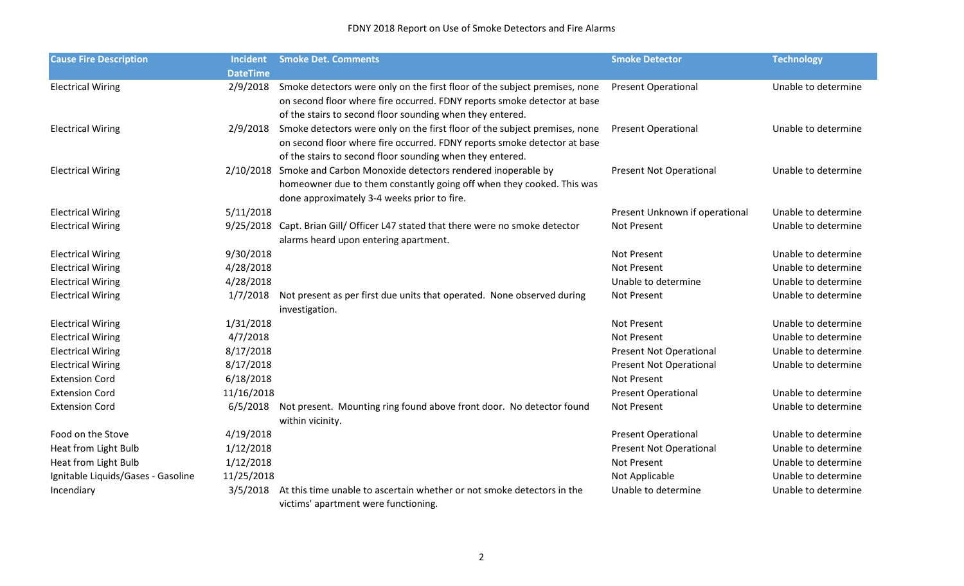## FDNY 2018 Report on Use of Smoke Detectors and Fire Alarms

| <b>Cause Fire Description</b>      | <b>Incident</b> | <b>Smoke Det. Comments</b>                                                       | <b>Smoke Detector</b>          | <b>Technology</b>   |
|------------------------------------|-----------------|----------------------------------------------------------------------------------|--------------------------------|---------------------|
|                                    | <b>DateTime</b> |                                                                                  |                                |                     |
| <b>Electrical Wiring</b>           | 2/9/2018        | Smoke detectors were only on the first floor of the subject premises, none       | <b>Present Operational</b>     | Unable to determine |
|                                    |                 | on second floor where fire occurred. FDNY reports smoke detector at base         |                                |                     |
|                                    |                 | of the stairs to second floor sounding when they entered.                        |                                |                     |
| <b>Electrical Wiring</b>           | 2/9/2018        | Smoke detectors were only on the first floor of the subject premises, none       | <b>Present Operational</b>     | Unable to determine |
|                                    |                 | on second floor where fire occurred. FDNY reports smoke detector at base         |                                |                     |
|                                    |                 | of the stairs to second floor sounding when they entered.                        |                                |                     |
| <b>Electrical Wiring</b>           |                 | 2/10/2018 Smoke and Carbon Monoxide detectors rendered inoperable by             | <b>Present Not Operational</b> | Unable to determine |
|                                    |                 | homeowner due to them constantly going off when they cooked. This was            |                                |                     |
|                                    |                 | done approximately 3-4 weeks prior to fire.                                      |                                |                     |
| <b>Electrical Wiring</b>           | 5/11/2018       |                                                                                  | Present Unknown if operational | Unable to determine |
| <b>Electrical Wiring</b>           |                 | 9/25/2018 Capt. Brian Gill/ Officer L47 stated that there were no smoke detector | Not Present                    | Unable to determine |
|                                    |                 | alarms heard upon entering apartment.                                            |                                |                     |
| <b>Electrical Wiring</b>           | 9/30/2018       |                                                                                  | Not Present                    | Unable to determine |
| <b>Electrical Wiring</b>           | 4/28/2018       |                                                                                  | Not Present                    | Unable to determine |
| <b>Electrical Wiring</b>           | 4/28/2018       |                                                                                  | Unable to determine            | Unable to determine |
| <b>Electrical Wiring</b>           | 1/7/2018        | Not present as per first due units that operated. None observed during           | Not Present                    | Unable to determine |
|                                    |                 | investigation.                                                                   |                                |                     |
| <b>Electrical Wiring</b>           | 1/31/2018       |                                                                                  | Not Present                    | Unable to determine |
| <b>Electrical Wiring</b>           | 4/7/2018        |                                                                                  | Not Present                    | Unable to determine |
| <b>Electrical Wiring</b>           | 8/17/2018       |                                                                                  | <b>Present Not Operational</b> | Unable to determine |
| <b>Electrical Wiring</b>           | 8/17/2018       |                                                                                  | <b>Present Not Operational</b> | Unable to determine |
| <b>Extension Cord</b>              | 6/18/2018       |                                                                                  | Not Present                    |                     |
| <b>Extension Cord</b>              | 11/16/2018      |                                                                                  | <b>Present Operational</b>     | Unable to determine |
| <b>Extension Cord</b>              | 6/5/2018        | Not present. Mounting ring found above front door. No detector found             | Not Present                    | Unable to determine |
|                                    |                 | within vicinity.                                                                 |                                |                     |
| Food on the Stove                  | 4/19/2018       |                                                                                  | <b>Present Operational</b>     | Unable to determine |
| Heat from Light Bulb               | 1/12/2018       |                                                                                  | <b>Present Not Operational</b> | Unable to determine |
| Heat from Light Bulb               | 1/12/2018       |                                                                                  | Not Present                    | Unable to determine |
| Ignitable Liquids/Gases - Gasoline | 11/25/2018      |                                                                                  | Not Applicable                 | Unable to determine |
| Incendiary                         | 3/5/2018        | At this time unable to ascertain whether or not smoke detectors in the           | Unable to determine            | Unable to determine |
|                                    |                 | victims' apartment were functioning.                                             |                                |                     |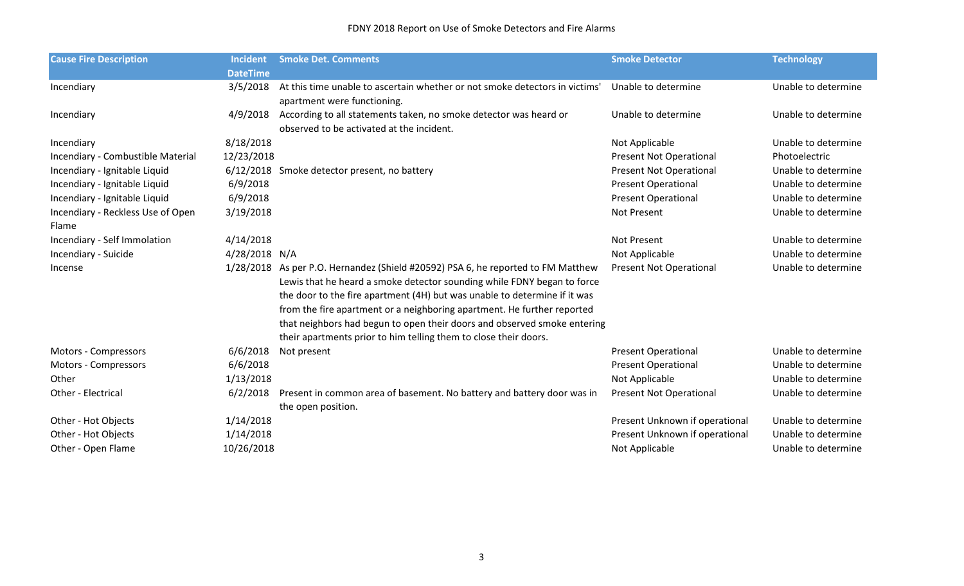| <b>Cause Fire Description</b>     | <b>Incident</b> | <b>Smoke Det. Comments</b>                                                                                 | <b>Smoke Detector</b>          | <b>Technology</b>   |
|-----------------------------------|-----------------|------------------------------------------------------------------------------------------------------------|--------------------------------|---------------------|
|                                   | <b>DateTime</b> |                                                                                                            |                                |                     |
| Incendiary                        | 3/5/2018        | At this time unable to ascertain whether or not smoke detectors in victims'<br>apartment were functioning. | Unable to determine            | Unable to determine |
|                                   | 4/9/2018        | According to all statements taken, no smoke detector was heard or                                          | Unable to determine            | Unable to determine |
| Incendiary                        |                 | observed to be activated at the incident.                                                                  |                                |                     |
| Incendiary                        | 8/18/2018       |                                                                                                            | Not Applicable                 | Unable to determine |
| Incendiary - Combustible Material | 12/23/2018      |                                                                                                            | <b>Present Not Operational</b> | Photoelectric       |
|                                   |                 |                                                                                                            |                                |                     |
| Incendiary - Ignitable Liquid     |                 | 6/12/2018 Smoke detector present, no battery                                                               | <b>Present Not Operational</b> | Unable to determine |
| Incendiary - Ignitable Liquid     | 6/9/2018        |                                                                                                            | <b>Present Operational</b>     | Unable to determine |
| Incendiary - Ignitable Liquid     | 6/9/2018        |                                                                                                            | <b>Present Operational</b>     | Unable to determine |
| Incendiary - Reckless Use of Open | 3/19/2018       |                                                                                                            | Not Present                    | Unable to determine |
| Flame                             |                 |                                                                                                            |                                |                     |
| Incendiary - Self Immolation      | 4/14/2018       |                                                                                                            | Not Present                    | Unable to determine |
| Incendiary - Suicide              | 4/28/2018 N/A   |                                                                                                            | Not Applicable                 | Unable to determine |
| Incense                           |                 | 1/28/2018 As per P.O. Hernandez (Shield #20592) PSA 6, he reported to FM Matthew                           | <b>Present Not Operational</b> | Unable to determine |
|                                   |                 | Lewis that he heard a smoke detector sounding while FDNY began to force                                    |                                |                     |
|                                   |                 | the door to the fire apartment (4H) but was unable to determine if it was                                  |                                |                     |
|                                   |                 | from the fire apartment or a neighboring apartment. He further reported                                    |                                |                     |
|                                   |                 | that neighbors had begun to open their doors and observed smoke entering                                   |                                |                     |
|                                   |                 | their apartments prior to him telling them to close their doors.                                           |                                |                     |
| Motors - Compressors              | 6/6/2018        | Not present                                                                                                | <b>Present Operational</b>     | Unable to determine |
| Motors - Compressors              | 6/6/2018        |                                                                                                            | <b>Present Operational</b>     | Unable to determine |
| Other                             | 1/13/2018       |                                                                                                            | Not Applicable                 | Unable to determine |
| Other - Electrical                | 6/2/2018        | Present in common area of basement. No battery and battery door was in                                     | <b>Present Not Operational</b> | Unable to determine |
|                                   |                 | the open position.                                                                                         |                                |                     |
| Other - Hot Objects               | 1/14/2018       |                                                                                                            | Present Unknown if operational | Unable to determine |
| Other - Hot Objects               | 1/14/2018       |                                                                                                            | Present Unknown if operational | Unable to determine |
| Other - Open Flame                | 10/26/2018      |                                                                                                            | Not Applicable                 | Unable to determine |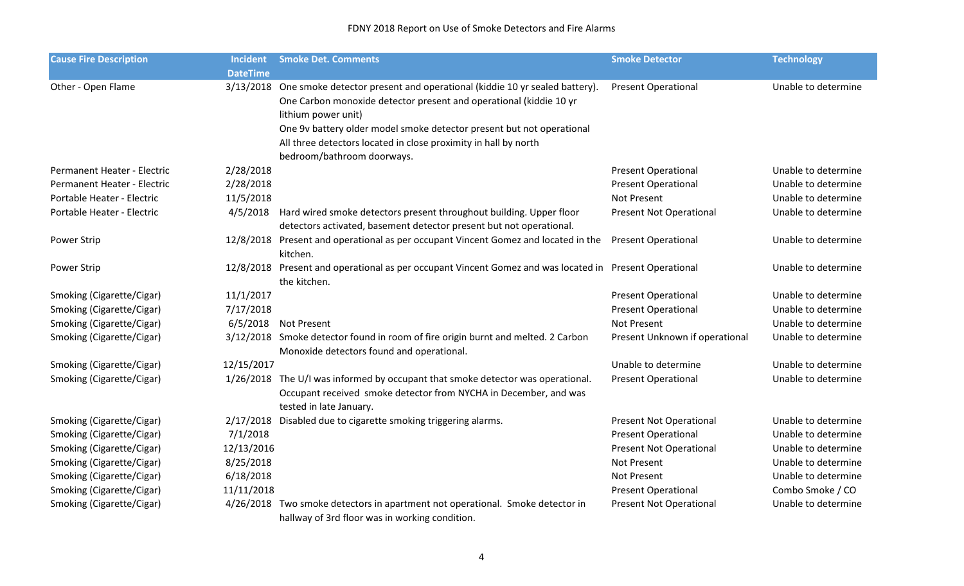| <b>Cause Fire Description</b> | <b>Incident</b> | <b>Smoke Det. Comments</b>                                                                                                    | <b>Smoke Detector</b>                     | <b>Technology</b>   |
|-------------------------------|-----------------|-------------------------------------------------------------------------------------------------------------------------------|-------------------------------------------|---------------------|
|                               | <b>DateTime</b> |                                                                                                                               |                                           |                     |
| Other - Open Flame            |                 | 3/13/2018 One smoke detector present and operational (kiddie 10 yr sealed battery).                                           | <b>Present Operational</b>                | Unable to determine |
|                               |                 | One Carbon monoxide detector present and operational (kiddie 10 yr                                                            |                                           |                     |
|                               |                 | lithium power unit)                                                                                                           |                                           |                     |
|                               |                 | One 9v battery older model smoke detector present but not operational                                                         |                                           |                     |
|                               |                 | All three detectors located in close proximity in hall by north                                                               |                                           |                     |
|                               |                 | bedroom/bathroom doorways.                                                                                                    |                                           |                     |
| Permanent Heater - Electric   | 2/28/2018       |                                                                                                                               | <b>Present Operational</b>                | Unable to determine |
| Permanent Heater - Electric   | 2/28/2018       |                                                                                                                               | <b>Present Operational</b>                | Unable to determine |
| Portable Heater - Electric    | 11/5/2018       |                                                                                                                               | Not Present                               | Unable to determine |
| Portable Heater - Electric    |                 | 4/5/2018 Hard wired smoke detectors present throughout building. Upper floor                                                  | <b>Present Not Operational</b>            | Unable to determine |
|                               |                 | detectors activated, basement detector present but not operational.                                                           |                                           |                     |
| <b>Power Strip</b>            |                 | 12/8/2018 Present and operational as per occupant Vincent Gomez and located in the<br>kitchen.                                | <b>Present Operational</b>                | Unable to determine |
| <b>Power Strip</b>            |                 | 12/8/2018 Present and operational as per occupant Vincent Gomez and was located in Present Operational<br>the kitchen.        |                                           | Unable to determine |
|                               | 11/1/2017       |                                                                                                                               |                                           | Unable to determine |
| Smoking (Cigarette/Cigar)     | 7/17/2018       |                                                                                                                               | <b>Present Operational</b>                | Unable to determine |
| Smoking (Cigarette/Cigar)     |                 | 6/5/2018 Not Present                                                                                                          | <b>Present Operational</b><br>Not Present | Unable to determine |
| Smoking (Cigarette/Cigar)     |                 |                                                                                                                               |                                           | Unable to determine |
| Smoking (Cigarette/Cigar)     |                 | 3/12/2018 Smoke detector found in room of fire origin burnt and melted. 2 Carbon<br>Monoxide detectors found and operational. | Present Unknown if operational            |                     |
| Smoking (Cigarette/Cigar)     | 12/15/2017      |                                                                                                                               | Unable to determine                       | Unable to determine |
| Smoking (Cigarette/Cigar)     |                 | 1/26/2018 The U/I was informed by occupant that smoke detector was operational.                                               | <b>Present Operational</b>                | Unable to determine |
|                               |                 | Occupant received smoke detector from NYCHA in December, and was                                                              |                                           |                     |
|                               |                 | tested in late January.                                                                                                       |                                           |                     |
| Smoking (Cigarette/Cigar)     |                 | 2/17/2018 Disabled due to cigarette smoking triggering alarms.                                                                | <b>Present Not Operational</b>            | Unable to determine |
| Smoking (Cigarette/Cigar)     | 7/1/2018        |                                                                                                                               | <b>Present Operational</b>                | Unable to determine |
| Smoking (Cigarette/Cigar)     | 12/13/2016      |                                                                                                                               | <b>Present Not Operational</b>            | Unable to determine |
| Smoking (Cigarette/Cigar)     | 8/25/2018       |                                                                                                                               | Not Present                               | Unable to determine |
| Smoking (Cigarette/Cigar)     | 6/18/2018       |                                                                                                                               | Not Present                               | Unable to determine |
| Smoking (Cigarette/Cigar)     | 11/11/2018      |                                                                                                                               | <b>Present Operational</b>                | Combo Smoke / CO    |
| Smoking (Cigarette/Cigar)     |                 | 4/26/2018 Two smoke detectors in apartment not operational. Smoke detector in                                                 | <b>Present Not Operational</b>            | Unable to determine |
|                               |                 | hallway of 3rd floor was in working condition.                                                                                |                                           |                     |